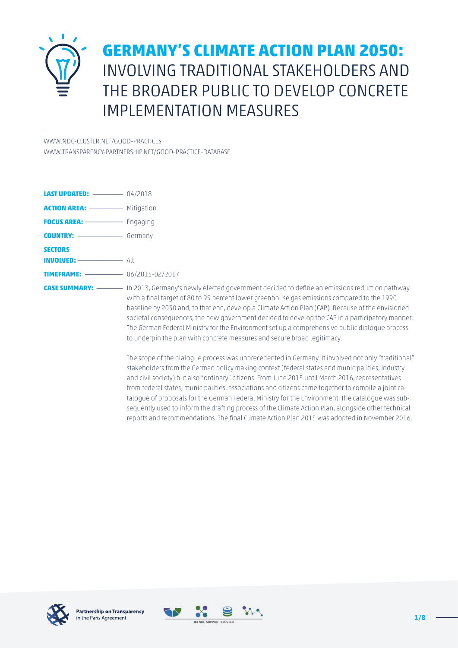

# **GERMANY'S CLIMATE ACTION PLAN 2050:** INVOLVING TRADITIONAL STAKEHOLDERS AND THE BROADER PUBLIC TO DEVELOP CONCRETE IMPLEMENTATION MEASURES

[WWW.NDC-CLUSTER.NET/GOOD-PRACTICES](http://www.ndc-cluster.net/good-practices)

[WWW.TRANSPARENCY-PARTNERSHIP.NET/GOOD-PRACTICE-DATABASE](http://www.transparency-partnership.net/good-practice-database)

**LAST UPDATED:** \_\_\_\_\_\_\_\_ 04/2018 **ACTION AREA:** \_\_\_\_\_\_\_\_\_\_ Mitigation **FOCUS AREA:** \_\_\_\_\_\_\_\_\_\_ Engaging **COUNTRY:**  $\qquad \qquad \qquad$  Germany **SECTORS INVOLVED:** \_\_\_\_\_\_\_\_\_\_\_\_ All **TIMEFRAME:** \_\_\_\_\_\_\_\_\_\_ 06/2015-02/2017

**CASE SUMMARY:** \_\_\_\_\_\_\_ In 2013, Germany's newly elected government decided to define an emissions reduction pathway with a final target of 80 to 95 percent lower greenhouse gas emissions compared to the 1990 baseline by 2050 and, to that end, develop a Climate Action Plan (CAP). Because of the envisioned societal consequences, the new government decided to develop the CAP in a participatory manner. The German Federal Ministry for the Environment set up a comprehensive public dialogue process to underpin the plan with concrete measures and secure broad legitimacy.

> The scope of the dialogue process was unprecedented in Germany. It involved not only "traditional" stakeholders from the German policy making context (federal states and municipalities, industry and civil society) but also "ordinary" citizens. From June 2015 until March 2016, representatives from federal states, municipalities, associations and citizens came together to compile a joint catalogue of proposals for the German Federal Ministry for the Environment. The catalogue was subsequently used to inform the drafting process of the Climate Action Plan, alongside other technical reports and recommendations. The final Climate Action Plan 2015 was adopted in November 2016.



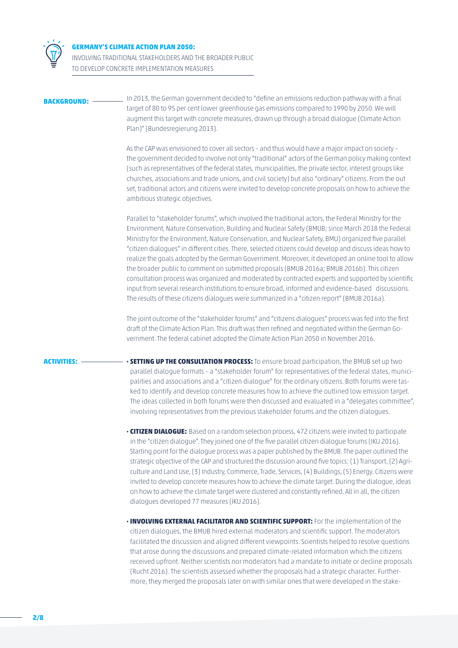

# **GERMANY'S CLIMATE ACTION PLAN 2050:**

INVOLVING TRADITIONAL STAKEHOLDERS AND THE BROADER PUBLIC TO DEVELOP CONCRETE IMPLEMENTATION MEASURES

**BACKGROUND:** \_\_\_\_\_\_\_\_ In 2013, the German government decided to "define an emissions reduction pathway with a final target of 80 to 95 per cent lower greenhouse gas emissions compared to 1990 by 2050. We will augment this target with concrete measures, drawn up through a broad dialogue (Climate Action Plan)" (Bundesregierung 2013).

> As the CAP was envisioned to cover all sectors – and thus would have a major impact on society – the government decided to involve not only "traditional" actors of the German policy making context (such as representatives of the federal states, municipalities, the private sector, interest groups like churches, associations and trade unions, and civil society) but also "ordinary" citizens. From the out set, traditional actors and citizens were invited to develop concrete proposals on how to achieve the ambitious strategic objectives.

> Parallel to "stakeholder forums", which involved the traditional actors, the Federal Ministry for the Environment, Nature Conservation, Building and Nuclear Safety (BMUB; since March 2018 the Federal Ministry for the Environment, Nature Conservation, and Nuclear Safety, BMU) organized five parallel "citizen dialogues" in different cities. There, selected citizens could develop and discuss ideas how to realize the goals adopted by the German Government. Moreover, it developed an online tool to allow the broader public to comment on submitted proposals (BMUB 2016a; BMUB 2016b). This citizen consultation process was organized and moderated by contracted experts and supported by scientific input from several research institutions to ensure broad, informed and evidence-based discussions. The results of these citizens dialogues were summarized in a "citizen report" (BMUB 2016a).

The joint outcome of the "stakeholder forums" and "citizens dialogues" process was fed into the first draft of the Climate Action Plan. This draft was then refined and negotiated within the German Government. The federal cabinet adopted the Climate Action Plan 2050 in November 2016.

**ACTIVITIES:** \_\_\_\_\_\_\_\_\_\_\_ **· SETTING UP THE CONSULTATION PROCESS:** To ensure broad participation, the BMUB set up two parallel dialogue formats – a "stakeholder forum" for representatives of the federal states, municipalities and associations and a "citizen dialogue" for the ordinary citizens. Both forums were tasked to identify and develop concrete measures how to achieve the outlined low emission target. The ideas collected in both forums were then discussed and evaluated in a "delegates committee", involving representatives from the previous stakeholder forums and the citizen dialogues.

- **· CITIZEN DIALOGUE:** Based on a random selection process, 472 citizens were invited to participate in the "citizen dialogue". They joined one of the five parallel citizen dialogue forums (IKU 2016). Starting point for the dialogue process was a paper published by the BMUB. The paper outlined the strategic objective of the CAP and structured the discussion around five topics: (1) Transport, (2) Agriculture and Land Use, (3) Industry, Commerce, Trade, Services, (4) Buildings, (5) Energy. Citizens were invited to develop concrete measures how to achieve the climate target. During the dialogue, ideas on how to achieve the climate target were clustered and constantly refined. All in all, the citizen dialogues developed 77 measures (IKU 2016).
- **· INVOLVING EXTERNAL FACILITATOR AND SCIENTIFIC SUPPORT:** For the implementation of the citizen dialogues, the BMUB hired external moderators and scientific support. The moderators facilitated the discussion and aligned different viewpoints. Scientists helped to resolve questions that arose during the discussions and prepared climate-related information which the citizens received upfront. Neither scientists nor moderators had a mandate to initiate or decline proposals (Rucht 2016). The scientists assessed whether the proposals had a strategic character. Furthermore, they merged the proposals later on with similar ones that were developed in the stake-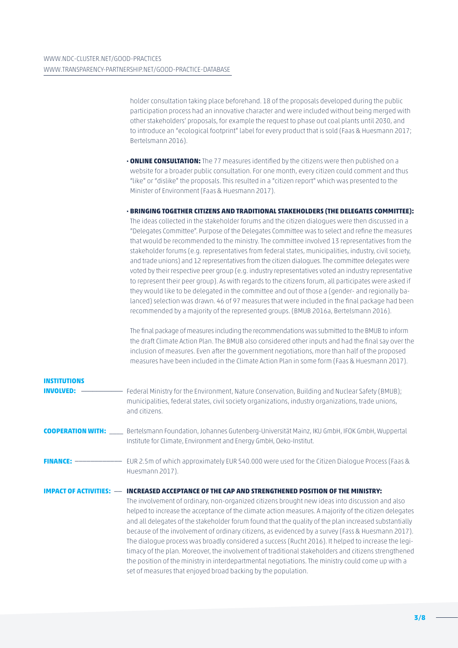holder consultation taking place beforehand. 18 of the proposals developed during the public participation process had an innovative character and were included without being merged with other stakeholders' proposals, for example the request to phase out coal plants until 2030, and to introduce an "ecological footprint" label for every product that is sold (Faas & Huesmann 2017; Bertelsmann 2016).

- **· ONLINE CONSULTATION:** The 77 measures identified by the citizens were then published on a website for a broader public consultation. For one month, every citizen could comment and thus "like" or "dislike" the proposals. This resulted in a "citizen report" which was presented to the Minister of Environment (Faas & Huesmann 2017).
- **· BRINGING TOGETHER CITIZENS AND TRADITIONAL STAKEHOLDERS (THE DELEGATES COMMITTEE):** The ideas collected in the stakeholder forums and the citizen dialogues were then discussed in a "Delegates Committee". Purpose of the Delegates Committee was to select and refine the measures that would be recommended to the ministry. The committee involved 13 representatives from the stakeholder forums (e.g. representatives from federal states, municipalities, industry, civil society, and trade unions) and 12 representatives from the citizen dialogues. The committee delegates were voted by their respective peer group (e.g. industry representatives voted an industry representative to represent their peer group). As with regards to the citizens forum, all participates were asked if they would like to be delegated in the committee and out of those a (gender- and regionally balanced) selection was drawn. 46 of 97 measures that were included in the final package had been recommended by a majority of the represented groups. (BMUB 2016a, Bertelsmann 2016).

The final package of measures including the recommendations was submitted to the BMUB to inform the draft Climate Action Plan. The BMUB also considered other inputs and had the final say over the inclusion of measures. Even after the government negotiations, more than half of the proposed measures have been included in the Climate Action Plan in some form (Faas & Huesmann 2017).

| <b>INSTITUTIONS</b>             |                                                                                                                                                                                                                                                                                                                                                                                                                                                                                                                                                                                                                                                                                                                                                                                                                                                                                         |
|---------------------------------|-----------------------------------------------------------------------------------------------------------------------------------------------------------------------------------------------------------------------------------------------------------------------------------------------------------------------------------------------------------------------------------------------------------------------------------------------------------------------------------------------------------------------------------------------------------------------------------------------------------------------------------------------------------------------------------------------------------------------------------------------------------------------------------------------------------------------------------------------------------------------------------------|
| <b>INVOLVED:</b>                | Federal Ministry for the Environment, Nature Conservation, Building and Nuclear Safety (BMUB);<br>municipalities, federal states, civil society organizations, industry organizations, trade unions,<br>and citizens.                                                                                                                                                                                                                                                                                                                                                                                                                                                                                                                                                                                                                                                                   |
|                                 | COOPERATION WITH: Bertelsmann Foundation, Johannes Gutenberg-Universität Mainz, IKU GmbH, IFOK GmbH, Wuppertal<br>Institute for Climate, Environment and Energy GmbH, Oeko-Institut.                                                                                                                                                                                                                                                                                                                                                                                                                                                                                                                                                                                                                                                                                                    |
|                                 | Huesmann 2017).                                                                                                                                                                                                                                                                                                                                                                                                                                                                                                                                                                                                                                                                                                                                                                                                                                                                         |
| <b>IMPACT OF ACTIVITIES: --</b> | INCREASED ACCEPTANCE OF THE CAP AND STRENGTHENED POSITION OF THE MINISTRY:<br>The involvement of ordinary, non-organized citizens brought new ideas into discussion and also<br>helped to increase the acceptance of the climate action measures. A majority of the citizen delegates<br>and all delegates of the stakeholder forum found that the quality of the plan increased substantially<br>because of the involvement of ordinary citizens, as evidenced by a survey (Fass & Huesmann 2017).<br>The dialogue process was broadly considered a success (Rucht 2016). It helped to increase the legi-<br>timacy of the plan. Moreover, the involvement of traditional stakeholders and citizens strengthened<br>the position of the ministry in interdepartmental negotiations. The ministry could come up with a<br>set of measures that enjoyed broad backing by the population. |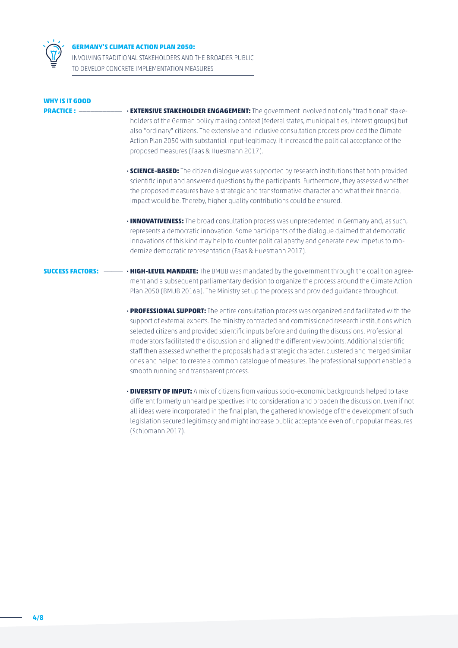

## **GERMANY'S CLIMATE ACTION PLAN 2050:**

INVOLVING TRADITIONAL STAKEHOLDERS AND THE BROADER PUBLIC TO DEVELOP CONCRETE IMPLEMENTATION MEASURES

| <b>WHY IS IT GOOD</b><br><b>PRACTICE: -</b> | · EXTENSIVE STAKEHOLDER ENGAGEMENT: The government involved not only "traditional" stake-<br>holders of the German policy making context (federal states, municipalities, interest groups) but<br>also "ordinary" citizens. The extensive and inclusive consultation process provided the Climate<br>Action Plan 2050 with substantial input-legitimacy. It increased the political acceptance of the<br>proposed measures (Faas & Huesmann 2017).                                                                                                                                                                |
|---------------------------------------------|-------------------------------------------------------------------------------------------------------------------------------------------------------------------------------------------------------------------------------------------------------------------------------------------------------------------------------------------------------------------------------------------------------------------------------------------------------------------------------------------------------------------------------------------------------------------------------------------------------------------|
|                                             | • SCIENCE-BASED: The citizen dialogue was supported by research institutions that both provided<br>scientific input and answered questions by the participants. Furthermore, they assessed whether<br>the proposed measures have a strategic and transformative character and what their financial<br>impact would be. Thereby, higher quality contributions could be ensured.                                                                                                                                                                                                                                    |
|                                             | . INNOVATIVENESS: The broad consultation process was unprecedented in Germany and, as such,<br>represents a democratic innovation. Some participants of the dialogue claimed that democratic<br>innovations of this kind may help to counter political apathy and generate new impetus to mo-<br>dernize democratic representation (Faas & Huesmann 2017).                                                                                                                                                                                                                                                        |
|                                             | <b>SUCCESS FACTORS:</b> - <b>HIGH-LEVEL MANDATE:</b> The BMUB was mandated by the government through the coalition agree-<br>ment and a subsequent parliamentary decision to organize the process around the Climate Action<br>Plan 2050 (BMUB 2016a). The Ministry set up the process and provided guidance throughout.                                                                                                                                                                                                                                                                                          |
|                                             | • PROFESSIONAL SUPPORT: The entire consultation process was organized and facilitated with the<br>support of external experts. The ministry contracted and commissioned research institutions which<br>selected citizens and provided scientific inputs before and during the discussions. Professional<br>moderators facilitated the discussion and aligned the different viewpoints. Additional scientific<br>staff then assessed whether the proposals had a strategic character, clustered and merged similar<br>ones and helped to create a common catalogue of measures. The professional support enabled a |

smooth running and transparent process.

 **· DIVERSITY OF INPUT:** A mix of citizens from various socio-economic backgrounds helped to take different formerly unheard perspectives into consideration and broaden the discussion. Even if not all ideas were incorporated in the final plan, the gathered knowledge of the development of such legislation secured legitimacy and might increase public acceptance even of unpopular measures (Schlomann 2017).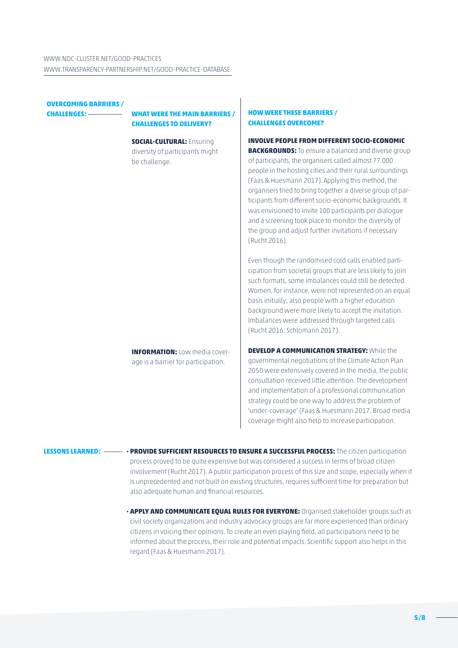| <b>OVERCOMING BARRIERS /</b><br><b>CHALLENGES: -</b> | <b>WHAT WERE THE MAIN BARRIERS /</b><br><b>CHALLENGES TO DELIVERY?</b>               | <b>HOW WERE THESE BARRIERS /</b><br><b>CHALLENGES OVERCOME?</b>                                                                                                                                                                                                                                                                                                                                                                                                                                                                                                                                                    |
|------------------------------------------------------|--------------------------------------------------------------------------------------|--------------------------------------------------------------------------------------------------------------------------------------------------------------------------------------------------------------------------------------------------------------------------------------------------------------------------------------------------------------------------------------------------------------------------------------------------------------------------------------------------------------------------------------------------------------------------------------------------------------------|
|                                                      | <b>SOCIAL-CULTURAL: Ensuring</b><br>diversity of participants might<br>be challenge. | <b>INVOLVE PEOPLE FROM DIFFERENT SOCIO-ECONOMIC</b><br><b>BACKGROUNDS:</b> To ensure a balanced and diverse group<br>of participants, the organisers called almost 77.000<br>people in the hosting cities and their rural surroundings<br>(Faas & Huesmann 2017). Applying this method, the<br>organisers tried to bring together a diverse group of par-<br>ticipants from different socio-economic backgrounds. It<br>was envisioned to invite 100 participants per dialogue<br>and a screening took place to monitor the diversity of<br>the group and adjust further invitations if necessary<br>(Rucht 2016). |
|                                                      |                                                                                      | Even though the randomised cold calls enabled parti-<br>cipation from societal groups that are less likely to join<br>such formats, some imbalances could still be detected.<br>Women, for instance, were not represented on an equal<br>basis initially; also people with a higher education<br>background were more likely to accept the invitation.<br>Imbalances were addressed through targeted calls<br>(Rucht 2016; Schlomann 2017).                                                                                                                                                                        |
|                                                      | <b>INFORMATION: Low media cover-</b><br>age is a barrier for participation.          | <b>DEVELOP A COMMUNICATION STRATEGY: While the</b><br>governmental negotiations of the Climate Action Plan<br>2050 were extensively covered in the media, the public<br>consultation received little attention. The development<br>and implementation of a professional communication<br>strategy could be one way to address the problem of<br>'under-coverage' (Faas & Huesmann 2017. Broad media<br>coverage might also help to increase participation.                                                                                                                                                         |

**LESSONS LEARNED:** \_\_\_\_\_ **· PROVIDE SUFFICIENT RESOURCES TO ENSURE A SUCCESSFUL PROCESS:** The citizen participation process proved to be quite expensive but was considered a success in terms of broad citizen involvement (Rucht 2017). A public participation process of this size and scope, especially when it is unprecedented and not built on existing structures, requires sufficient time for preparation but also adequate human and financial resources.

> **· APPLY AND COMMUNICATE EQUAL RULES FOR EVERYONE:** Organised stakeholder groups such as civil society organizations and industry advocacy groups are far more experienced than ordinary citizens in voicing their opinions. To create an even playing field, all participations need to be informed about the process, their role and potential impacts. Scientific support also helps in this regard (Faas & Huesmann 2017).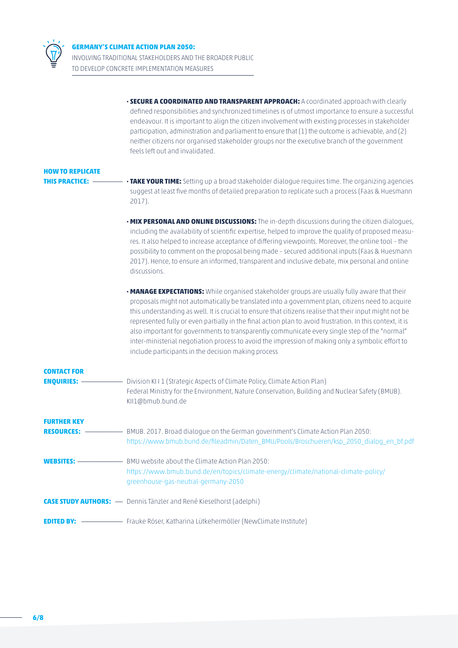

INVOLVING TRADITIONAL STAKEHOLDERS AND THE BROADER PUBLIC TO DEVELOP CONCRETE IMPLEMENTATION MEASURES

|                         | <b>· SECURE A COORDINATED AND TRANSPARENT APPROACH:</b> A coordinated approach with clearly<br>defined responsibilities and synchronized timelines is of utmost importance to ensure a successful<br>endeavour. It is important to align the citizen involvement with existing processes in stakeholder<br>participation, administration and parliament to ensure that (1) the outcome is achievable, and (2)<br>neither citizens nor organised stakeholder groups nor the executive branch of the government<br>feels left out and invalidated.                                                                                                                                      |
|-------------------------|---------------------------------------------------------------------------------------------------------------------------------------------------------------------------------------------------------------------------------------------------------------------------------------------------------------------------------------------------------------------------------------------------------------------------------------------------------------------------------------------------------------------------------------------------------------------------------------------------------------------------------------------------------------------------------------|
| <b>HOW TO REPLICATE</b> |                                                                                                                                                                                                                                                                                                                                                                                                                                                                                                                                                                                                                                                                                       |
| <b>THIS PRACTICE: -</b> | . TAKE YOUR TIME: Setting up a broad stakeholder dialogue requires time. The organizing agencies<br>suggest at least five months of detailed preparation to replicate such a process (Faas & Huesmann<br>2017).                                                                                                                                                                                                                                                                                                                                                                                                                                                                       |
|                         | • MIX PERSONAL AND ONLINE DISCUSSIONS: The in-depth discussions during the citizen dialogues,<br>including the availability of scientific expertise, helped to improve the quality of proposed measu-<br>res. It also helped to increase acceptance of differing viewpoints. Moreover, the online tool - the<br>possibility to comment on the proposal being made - secured additional inputs (Faas & Huesmann<br>2017). Hence, to ensure an informed, transparent and inclusive debate, mix personal and online<br>discussions.                                                                                                                                                      |
|                         | . MANAGE EXPECTATIONS: While organised stakeholder groups are usually fully aware that their<br>proposals might not automatically be translated into a government plan, citizens need to acquire<br>this understanding as well. It is crucial to ensure that citizens realise that their input might not be<br>represented fully or even partially in the final action plan to avoid frustration. In this context, it is<br>also important for governments to transparently communicate every single step of the "normal"<br>inter-ministerial negotiation process to avoid the impression of making only a symbolic effort to<br>include participants in the decision making process |
| <b>CONTACT FOR</b>      |                                                                                                                                                                                                                                                                                                                                                                                                                                                                                                                                                                                                                                                                                       |
| <b>ENQUIRIES: -</b>     | Division KII1 (Strategic Aspects of Climate Policy, Climate Action Plan)<br>Federal Ministry for the Environment, Nature Conservation, Building and Nuclear Safety (BMUB).<br>KII1@bmub.bund.de                                                                                                                                                                                                                                                                                                                                                                                                                                                                                       |
| <b>FURTHER KEY</b>      |                                                                                                                                                                                                                                                                                                                                                                                                                                                                                                                                                                                                                                                                                       |
| <b>RESOURCES:</b>       | BMUB. 2017. Broad dialogue on the German government's Climate Action Plan 2050:<br>https://www.bmub.bund.de/fileadmin/Daten_BMU/Pools/Broschueren/ksp_2050_dialog_en_bf.pdf                                                                                                                                                                                                                                                                                                                                                                                                                                                                                                           |
|                         | https://www.bmub.bund.de/en/topics/climate-energy/climate/national-climate-policy/<br>greenhouse-gas-neutral-germany-2050                                                                                                                                                                                                                                                                                                                                                                                                                                                                                                                                                             |
|                         | <b>CASE STUDY AUTHORS:</b> - Dennis Tänzler and René Kieselhorst (adelphi)                                                                                                                                                                                                                                                                                                                                                                                                                                                                                                                                                                                                            |
|                         |                                                                                                                                                                                                                                                                                                                                                                                                                                                                                                                                                                                                                                                                                       |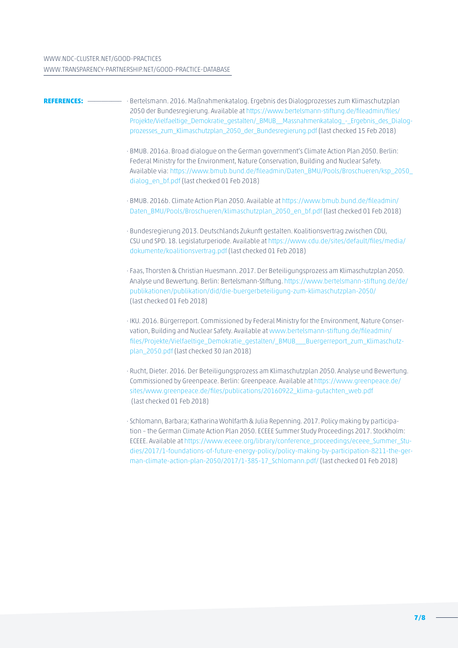**REFERENCES:** \_\_\_\_\_\_\_\_\_\_ · Bertelsmann. 2016. Maßnahmenkatalog. Ergebnis des Dialogprozesses zum Klimaschutzplan 2050 der Bundesregierung. Available at [https://www.bertelsmann-stiftung.de/fileadmin/files/](https://www.bertelsmann-stiftung.de/fileadmin/files/Projekte/Vielfaeltige_Demokratie_gestalten/_BMUB__Massnahmenkatalog_-_Ergebnis_des_Dialogprozesses_zum_Klimaschutzplan_2050_der_Bundesregierung.pdf) Projekte/Vielfaeltige\_Demokratie\_gestalten/\_BMUB\_\_Massnahmenkatalog -\_Ergebnis\_des\_Dialog[prozesses\\_zum\\_Klimaschutzplan\\_2050\\_der\\_Bundesregierung.pdf](https://www.bertelsmann-stiftung.de/fileadmin/files/Projekte/Vielfaeltige_Demokratie_gestalten/_BMUB__Massnahmenkatalog_-_Ergebnis_des_Dialogprozesses_zum_Klimaschutzplan_2050_der_Bundesregierung.pdf) (last checked 15 Feb 2018) · BMUB. 2016a. Broad dialogue on the German government's Climate Action Plan 2050. Berlin: Federal Ministry for the Environment, Nature Conservation, Building and Nuclear Safety. Available via: [https://www.bmub.bund.de/fileadmin/Daten\\_BMU/Pools/Broschueren/ksp\\_2050\\_](https://www.bmub.bund.de/fileadmin/Daten_BMU/Pools/Broschueren/ksp_2050_dialog_en_bf.pdf) [dialog\\_en\\_bf.pdf](https://www.bmub.bund.de/fileadmin/Daten_BMU/Pools/Broschueren/ksp_2050_dialog_en_bf.pdf) (last checked 01 Feb 2018) · BMUB. 2016b. Climate Action Plan 2050. Available at [https://www.bmub.bund.de/fileadmin/](https://www.bmub.bund.de/fileadmin/Daten_BMU/Pools/Broschueren/klimaschutzplan_2050_en_bf.pdf) [Daten\\_BMU/Pools/Broschueren/klimaschutzplan\\_2050\\_en\\_bf.pdf](https://www.bmub.bund.de/fileadmin/Daten_BMU/Pools/Broschueren/klimaschutzplan_2050_en_bf.pdf) (last checked 01 Feb 2018) · Bundesregierung 2013. Deutschlands Zukunft gestalten. Koalitionsvertrag zwischen CDU, CSU und SPD. 18. Legislaturperiode. Available at https://www.cdu.de/sites/default/files/media/ dokumente/koalitionsvertrag.pdf (last checked 01 Feb 2018) · Faas, Thorsten & Christian Huesmann. 2017. Der Beteiligungsprozess am Klimaschutzplan 2050. Analyse und Bewertung. Berlin: Bertelsmann-Stiftung. [https://www.bertelsmann-stiftung.de/de/](https://www.bertelsmann-stiftung.de/de/publikationen/publikation/did/die-buergerbeteiligung-zum-klimaschutzplan-2050/) [publikationen/publikation/did/die-buergerbeteiligung-zum-klimaschutzplan-2050/](https://www.bertelsmann-stiftung.de/de/publikationen/publikation/did/die-buergerbeteiligung-zum-klimaschutzplan-2050/) (last checked 01 Feb 2018) · IKU. 2016. Bürgerreport. Commissioned by Federal Ministry for the Environment, Nature Conservation, Building and Nuclear Safety. Available at [www.bertelsmann-stiftung.de/fileadmin/](http://www.bertelsmann-stiftung.de/fileadmin/files/Projekte/Vielfaeltige_Demokratie_gestalten/_BMUB___Buergerreport_zum_Klimaschutzplan_2050.pdf) [files/Projekte/Vielfaeltige\\_Demokratie\\_gestalten/\\_BMUB\\_\\_\\_Buergerreport\\_zum\\_Klimaschutz](http://www.bertelsmann-stiftung.de/fileadmin/files/Projekte/Vielfaeltige_Demokratie_gestalten/_BMUB___Buergerreport_zum_Klimaschutzplan_2050.pdf)[plan\\_2050.pdf](http://www.bertelsmann-stiftung.de/fileadmin/files/Projekte/Vielfaeltige_Demokratie_gestalten/_BMUB___Buergerreport_zum_Klimaschutzplan_2050.pdf) (last checked 30 Jan 2018) · Rucht, Dieter. 2016. Der Beteiligungsprozess am Klimaschutzplan 2050. Analyse und Bewertung. Commissioned by Greenpeace. Berlin: Greenpeace. Available at [https://www.greenpeace.de/](https://www.greenpeace.de/sites/www.greenpeace.de/files/publications/20160922_klima-gutachten_web.pdf) [sites/www.greenpeace.de/files/publications/20160922\\_klima-gutachten\\_web.pdf](https://www.greenpeace.de/sites/www.greenpeace.de/files/publications/20160922_klima-gutachten_web.pdf) (last checked 01 Feb 2018) · Schlomann, Barbara; Katharina Wohlfarth & Julia Repenning. 2017. Policy making by participation – the German Climate Action Plan 2050. ECEEE Summer Study Proceedings 2017. Stockholm: ECEEE. Available at [https://www.eceee.org/library/conference\\_proceedings/eceee\\_Summer\\_Stu](https://www.eceee.org/library/conference_proceedings/eceee_Summer_Studies/2017/1-foundations-of-future-energy-policy/policy-making-by-participation-8211-the-german-climate-action-plan-2050/2017/1-385-17_Schlomann.pdf/)[dies/2017/1-foundations-of-future-energy-policy/policy-making-by-participation-8211-the-ger](https://www.eceee.org/library/conference_proceedings/eceee_Summer_Studies/2017/1-foundations-of-future-energy-policy/policy-making-by-participation-8211-the-german-climate-action-plan-2050/2017/1-385-17_Schlomann.pdf/)[man-climate-action-plan-2050/2017/1-385-17\\_Schlomann.pdf/](https://www.eceee.org/library/conference_proceedings/eceee_Summer_Studies/2017/1-foundations-of-future-energy-policy/policy-making-by-participation-8211-the-german-climate-action-plan-2050/2017/1-385-17_Schlomann.pdf/) (last checked 01 Feb 2018)